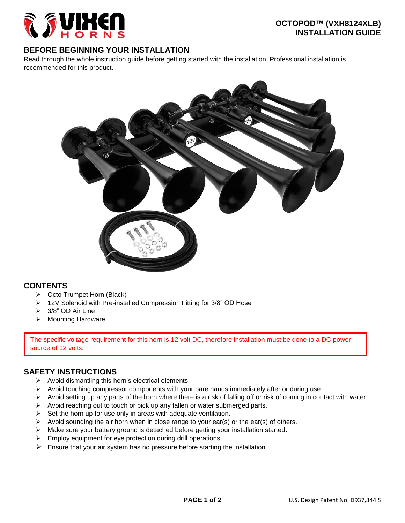

### **BEFORE BEGINNING YOUR INSTALLATION**

Read through the whole instruction guide before getting started with the installation. Professional installation is recommended for this product.



#### **CONTENTS**

- Octo Trumpet Horn (Black)
- ▶ 12V Solenoid with Pre-installed Compression Fitting for 3/8" OD Hose
- 3/8" OD Air Line
- > Mounting Hardware

The specific voltage requirement for this horn is 12 volt DC, therefore installation must be done to a DC power source of 12 volts.

## **SAFETY INSTRUCTIONS**

- $\triangleright$  Avoid dismantling this horn's electrical elements.
- $\triangleright$  Avoid touching compressor components with your bare hands immediately after or during use.
- $\triangleright$  Avoid setting up any parts of the horn where there is a risk of falling off or risk of coming in contact with water.
- $\triangleright$  Avoid reaching out to touch or pick up any fallen or water submerged parts.
- $\triangleright$  Set the horn up for use only in areas with adequate ventilation.
- $\triangleright$  Avoid sounding the air horn when in close range to your ear(s) or the ear(s) of others.
- $\triangleright$  Make sure your battery ground is detached before getting your installation started.
- $\triangleright$  Employ equipment for eye protection during drill operations.
- $\triangleright$  Ensure that your air system has no pressure before starting the installation.